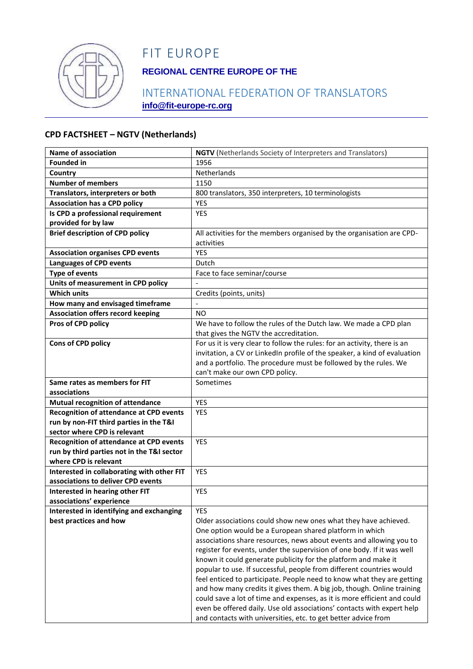

## FIT EUROPE

## **REGIONAL CENTRE EUROPE OF THE**

### INTERNATIONAL FEDERATION OF TRANSLATORS **info@fit-europe-rc.org**

#### **CPD FACTSHEET – NGTV (Netherlands)**

| <b>Name of association</b>                     | NGTV (Netherlands Society of Interpreters and Translators)                |
|------------------------------------------------|---------------------------------------------------------------------------|
| <b>Founded in</b>                              | 1956                                                                      |
| Country                                        | Netherlands                                                               |
| <b>Number of members</b>                       | 1150                                                                      |
| Translators, interpreters or both              | 800 translators, 350 interpreters, 10 terminologists                      |
| <b>Association has a CPD policy</b>            | YES                                                                       |
| Is CPD a professional requirement              | <b>YES</b>                                                                |
| provided for by law                            |                                                                           |
| <b>Brief description of CPD policy</b>         | All activities for the members organised by the organisation are CPD-     |
|                                                | activities                                                                |
| <b>Association organises CPD events</b>        | <b>YES</b>                                                                |
| <b>Languages of CPD events</b>                 | Dutch                                                                     |
| <b>Type of events</b>                          | Face to face seminar/course                                               |
| Units of measurement in CPD policy             |                                                                           |
| <b>Which units</b>                             | Credits (points, units)                                                   |
| How many and envisaged timeframe               |                                                                           |
| <b>Association offers record keeping</b>       | <b>NO</b>                                                                 |
| Pros of CPD policy                             | We have to follow the rules of the Dutch law. We made a CPD plan          |
|                                                | that gives the NGTV the accreditation.                                    |
|                                                | For us it is very clear to follow the rules: for an activity, there is an |
| <b>Cons of CPD policy</b>                      | invitation, a CV or LinkedIn profile of the speaker, a kind of evaluation |
|                                                |                                                                           |
|                                                | and a portfolio. The procedure must be followed by the rules. We          |
|                                                | can't make our own CPD policy.<br>Sometimes                               |
| Same rates as members for FIT                  |                                                                           |
| associations                                   |                                                                           |
| <b>Mutual recognition of attendance</b>        | <b>YES</b>                                                                |
| <b>Recognition of attendance at CPD events</b> | YES                                                                       |
| run by non-FIT third parties in the T&I        |                                                                           |
| sector where CPD is relevant                   |                                                                           |
| <b>Recognition of attendance at CPD events</b> | <b>YES</b>                                                                |
| run by third parties not in the T&I sector     |                                                                           |
| where CPD is relevant                          |                                                                           |
| Interested in collaborating with other FIT     | <b>YES</b>                                                                |
| associations to deliver CPD events             |                                                                           |
| Interested in hearing other FIT                | YES                                                                       |
| associations' experience                       |                                                                           |
| Interested in identifying and exchanging       | YES                                                                       |
| best practices and how                         | Older associations could show new ones what they have achieved.           |
|                                                | One option would be a European shared platform in which                   |
|                                                | associations share resources, news about events and allowing you to       |
|                                                | register for events, under the supervision of one body. If it was well    |
|                                                | known it could generate publicity for the platform and make it            |
|                                                | popular to use. If successful, people from different countries would      |
|                                                | feel enticed to participate. People need to know what they are getting    |
|                                                | and how many credits it gives them. A big job, though. Online training    |
|                                                | could save a lot of time and expenses, as it is more efficient and could  |
|                                                | even be offered daily. Use old associations' contacts with expert help    |
|                                                | and contacts with universities, etc. to get better advice from            |